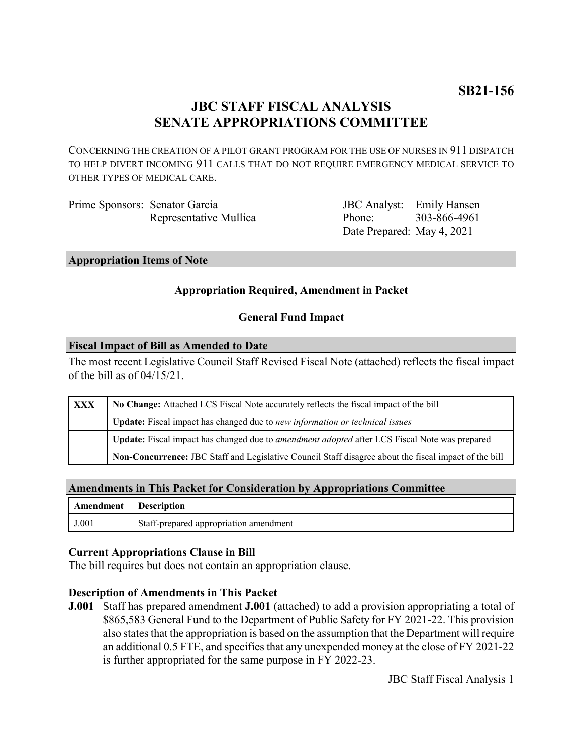# **JBC STAFF FISCAL ANALYSIS SENATE APPROPRIATIONS COMMITTEE**

CONCERNING THE CREATION OF A PILOT GRANT PROGRAM FOR THE USE OF NURSES IN 911 DISPATCH TO HELP DIVERT INCOMING 911 CALLS THAT DO NOT REQUIRE EMERGENCY MEDICAL SERVICE TO OTHER TYPES OF MEDICAL CARE.

| Prime Sponsors: Senator Garcia |                        |
|--------------------------------|------------------------|
|                                | Representative Mullica |

JBC Analyst: Emily Hansen Phone: Date Prepared: May 4, 2021 303-866-4961

#### **Appropriation Items of Note**

### **Appropriation Required, Amendment in Packet**

### **General Fund Impact**

#### **Fiscal Impact of Bill as Amended to Date**

The most recent Legislative Council Staff Revised Fiscal Note (attached) reflects the fiscal impact of the bill as of 04/15/21.

| XXX | No Change: Attached LCS Fiscal Note accurately reflects the fiscal impact of the bill                       |  |
|-----|-------------------------------------------------------------------------------------------------------------|--|
|     | <b>Update:</b> Fiscal impact has changed due to new information or technical issues                         |  |
|     | <b>Update:</b> Fiscal impact has changed due to <i>amendment adopted</i> after LCS Fiscal Note was prepared |  |
|     | Non-Concurrence: JBC Staff and Legislative Council Staff disagree about the fiscal impact of the bill       |  |

#### **Amendments in This Packet for Consideration by Appropriations Committee**

| <b>Amendment</b> Description |                                        |
|------------------------------|----------------------------------------|
| J.001                        | Staff-prepared appropriation amendment |

#### **Current Appropriations Clause in Bill**

The bill requires but does not contain an appropriation clause.

#### **Description of Amendments in This Packet**

**J.001** Staff has prepared amendment **J.001** (attached) to add a provision appropriating a total of \$865,583 General Fund to the Department of Public Safety for FY 2021-22. This provision also states that the appropriation is based on the assumption that the Department will require an additional 0.5 FTE, and specifies that any unexpended money at the close of FY 2021-22 is further appropriated for the same purpose in FY 2022-23.

JBC Staff Fiscal Analysis 1